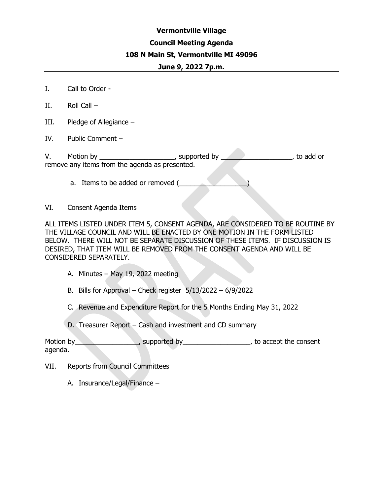## **Vermontville Village Council Meeting Agenda 108 N Main St, Vermontville MI 49096 June 9, 2022 7p.m.**

- I. Call to Order -
- II. Roll Call –
- III. Pledge of Allegiance –
- IV. Public Comment –

V. Motion by \_\_\_\_\_\_\_\_\_\_\_\_\_\_\_\_\_\_\_\_\_, supported by \_\_\_\_\_\_\_\_\_\_\_\_\_\_\_\_\_\_\_\_\_, to add or remove any items from the agenda as presented.

- a. Items to be added or removed (
- VI. Consent Agenda Items

ALL ITEMS LISTED UNDER ITEM 5, CONSENT AGENDA, ARE CONSIDERED TO BE ROUTINE BY THE VILLAGE COUNCIL AND WILL BE ENACTED BY ONE MOTION IN THE FORM LISTED BELOW. THERE WILL NOT BE SEPARATE DISCUSSION OF THESE ITEMS. IF DISCUSSION IS DESIRED, THAT ITEM WILL BE REMOVED FROM THE CONSENT AGENDA AND WILL BE CONSIDERED SEPARATELY.

- A. Minutes May 19, 2022 meeting
- B. Bills for Approval Check register 5/13/2022 6/9/2022
- C. Revenue and Expenditure Report for the 5 Months Ending May 31, 2022
- D. Treasurer Report Cash and investment and CD summary

Motion by \_\_\_\_\_\_\_\_\_\_\_\_\_\_\_\_, supported by \_\_\_\_\_\_\_\_\_\_\_\_\_\_\_\_\_\_\_\_, to accept the consent agenda.

- VII. Reports from Council Committees
	- A. Insurance/Legal/Finance –